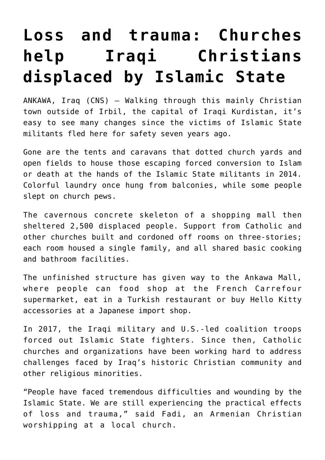## **[Loss and trauma: Churches](https://www.osvnews.com/amp/2021/11/24/loss-and-trauma-churches-help-iraqi-christians-displaced-by-islamic-state/) [help Iraqi Christians](https://www.osvnews.com/amp/2021/11/24/loss-and-trauma-churches-help-iraqi-christians-displaced-by-islamic-state/) [displaced by Islamic State](https://www.osvnews.com/amp/2021/11/24/loss-and-trauma-churches-help-iraqi-christians-displaced-by-islamic-state/)**

ANKAWA, Iraq (CNS) — Walking through this mainly Christian town outside of Irbil, the capital of Iraqi Kurdistan, it's easy to see many changes since the victims of Islamic State militants fled here for safety seven years ago.

Gone are the tents and caravans that dotted church yards and open fields to house those escaping forced conversion to Islam or death at the hands of the Islamic State militants in 2014. Colorful laundry once hung from balconies, while some people slept on church pews.

The cavernous concrete skeleton of a shopping mall then sheltered 2,500 displaced people. Support from Catholic and other churches built and cordoned off rooms on three-stories; each room housed a single family, and all shared basic cooking and bathroom facilities.

The unfinished structure has given way to the Ankawa Mall, where people can food shop at the French Carrefour supermarket, eat in a Turkish restaurant or buy Hello Kitty accessories at a Japanese import shop.

In 2017, the Iraqi military and U.S.-led coalition troops forced out Islamic State fighters. Since then, Catholic churches and organizations have been working hard to address challenges faced by Iraq's historic Christian community and other religious minorities.

"People have faced tremendous difficulties and wounding by the Islamic State. We are still experiencing the practical effects of loss and trauma," said Fadi, an Armenian Christian worshipping at a local church.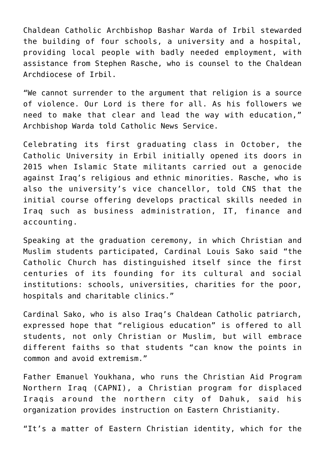Chaldean Catholic Archbishop Bashar Warda of Irbil stewarded the building of four schools, a university and a hospital, providing local people with badly needed employment, with assistance from Stephen Rasche, who is counsel to the Chaldean Archdiocese of Irbil.

"We cannot surrender to the argument that religion is a source of violence. Our Lord is there for all. As his followers we need to make that clear and lead the way with education," Archbishop Warda told Catholic News Service.

Celebrating its first graduating class in October, the Catholic University in Erbil initially opened its doors in 2015 when Islamic State militants carried out a genocide against Iraq's religious and ethnic minorities. Rasche, who is also the university's vice chancellor, told CNS that the initial course offering develops practical skills needed in Iraq such as business administration, IT, finance and accounting.

Speaking at the graduation ceremony, in which Christian and Muslim students participated, Cardinal Louis Sako said "the Catholic Church has distinguished itself since the first centuries of its founding for its cultural and social institutions: schools, universities, charities for the poor, hospitals and charitable clinics."

Cardinal Sako, who is also Iraq's Chaldean Catholic patriarch, expressed hope that "religious education" is offered to all students, not only Christian or Muslim, but will embrace different faiths so that students "can know the points in common and avoid extremism."

Father Emanuel Youkhana, who runs the Christian Aid Program Northern Iraq (CAPNI), a Christian program for displaced Iraqis around the northern city of Dahuk, said his organization provides instruction on Eastern Christianity.

"It's a matter of Eastern Christian identity, which for the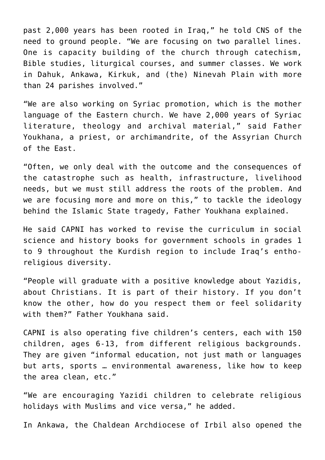past 2,000 years has been rooted in Iraq," he told CNS of the need to ground people. "We are focusing on two parallel lines. One is capacity building of the church through catechism, Bible studies, liturgical courses, and summer classes. We work in Dahuk, Ankawa, Kirkuk, and (the) Ninevah Plain with more than 24 parishes involved."

"We are also working on Syriac promotion, which is the mother language of the Eastern church. We have 2,000 years of Syriac literature, theology and archival material," said Father Youkhana, a priest, or archimandrite, of the Assyrian Church of the East.

"Often, we only deal with the outcome and the consequences of the catastrophe such as health, infrastructure, livelihood needs, but we must still address the roots of the problem. And we are focusing more and more on this," to tackle the ideology behind the Islamic State tragedy, Father Youkhana explained.

He said CAPNI has worked to revise the curriculum in social science and history books for government schools in grades 1 to 9 throughout the Kurdish region to include Iraq's enthoreligious diversity.

"People will graduate with a positive knowledge about Yazidis, about Christians. It is part of their history. If you don't know the other, how do you respect them or feel solidarity with them?" Father Youkhana said.

CAPNI is also operating five children's centers, each with 150 children, ages 6-13, from different religious backgrounds. They are given "informal education, not just math or languages but arts, sports … environmental awareness, like how to keep the area clean, etc."

"We are encouraging Yazidi children to celebrate religious holidays with Muslims and vice versa," he added.

In Ankawa, the Chaldean Archdiocese of Irbil also opened the